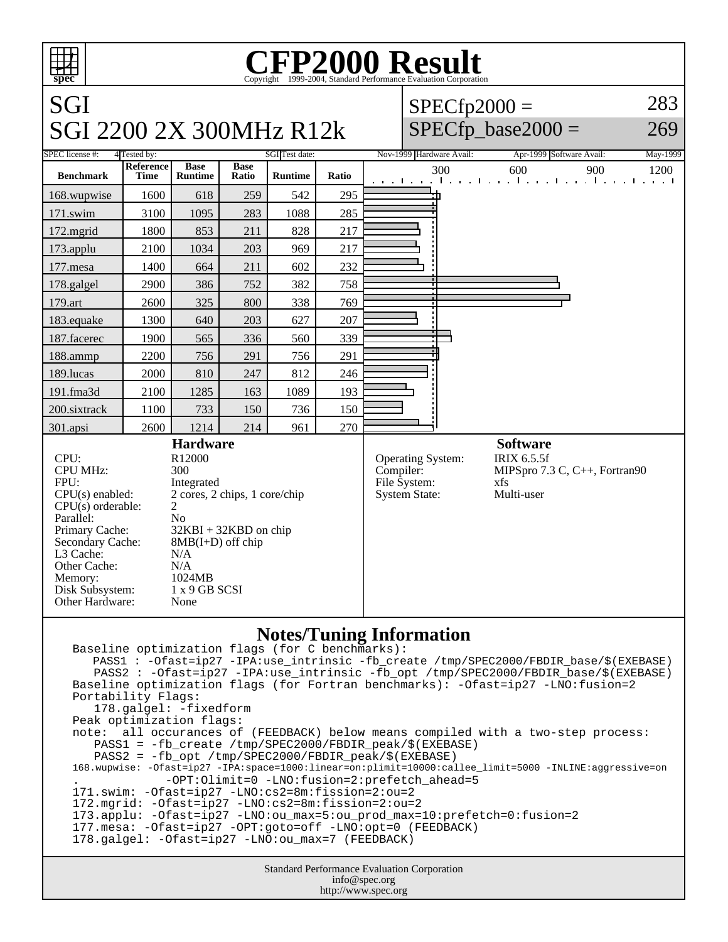

```
Baseline optimization flags (for C benchmarks): 
    PASS1 : -Ofast=ip27 -IPA:use_intrinsic -fb_create /tmp/SPEC2000/FBDIR_base/$(EXEBASE)
    PASS2 : -Ofast=ip27 -IPA:use_intrinsic -fb_opt /tmp/SPEC2000/FBDIR_base/$(EXEBASE)
Baseline optimization flags (for Fortran benchmarks): -Ofast=ip27 -LNO:fusion=2
Portability Flags:
    178.galgel: -fixedform
Peak optimization flags:
note: all occurances of (FEEDBACK) below means compiled with a two-step process:
    PASS1 = -fb_create /tmp/SPEC2000/FBDIR_peak/$(EXEBASE)
    PASS2 = -fb_opt /tmp/SPEC2000/FBDIR_peak/$(EXEBASE)
168.wupwise: -Ofast=ip27 -IPA:space=1000:linear=on:plimit=10000:callee_limit=5000 -INLINE:aggressive=on 
             . -OPT:Olimit=0 -LNO:fusion=2:prefetch_ahead=5
171.swim: -Ofast=ip27 -LNO:cs2=8m:fission=2:ou=2
172.mgrid: -Ofast=ip27 -LNO:cs2=8m:fission=2:ou=2
173.applu: -Ofast=ip27 -LNO:ou_max=5:ou_prod_max=10:prefetch=0:fusion=2
177.mesa: -Ofast=ip27 -OPT:goto=off -LNO:opt=0 (FEEDBACK)
178.galgel: -Ofast=ip27 -LNO:ou max=7 (FEEDBACK)
```
Standard Performance Evaluation Corporation info@spec.org http://www.spec.org